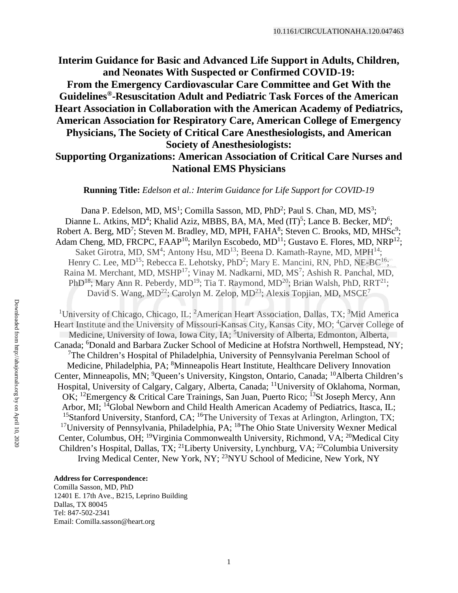**Interim Guidance for Basic and Advanced Life Support in Adults, Children, and Neonates With Suspected or Confirmed COVID-19: From the Emergency Cardiovascular Care Committee and Get With the Guidelines®-Resuscitation Adult and Pediatric Task Forces of the American Heart Association in Collaboration with the American Academy of Pediatrics, American Association for Respiratory Care, American College of Emergency Physicians, The Society of Critical Care Anesthesiologists, and American Society of Anesthesiologists:** 

# **Supporting Organizations: American Association of Critical Care Nurses and National EMS Physicians**

**Running Title:** *Edelson et al.: Interim Guidance for Life Support for COVID-19* 

Dana P. Edelson, MD,  $MS<sup>1</sup>$ ; Comilla Sasson, MD, PhD<sup>2</sup>; Paul S. Chan, MD,  $MS<sup>3</sup>$ ; Dianne L. Atkins, MD<sup>4</sup>; Khalid Aziz, MBBS, BA, MA, Med  $(IT)^5$ ; Lance B. Becker, MD<sup>6</sup>; Robert A. Berg, MD<sup>7</sup>; Steven M. Bradley, MD, MPH, FAHA<sup>8</sup>; Steven C. Brooks, MD, MHSc<sup>9</sup>; Adam Cheng, MD, FRCPC, FAAP<sup>10</sup>; Marilyn Escobedo, MD<sup>11</sup>; Gustavo E. Flores, MD, NRP<sup>12</sup>; Saket Girotra, MD, SM<sup>4</sup>; Antony Hsu, MD<sup>13</sup>; Beena D. Kamath-Rayne, MD, MPH<sup>14</sup>; Henry C. Lee, MD<sup>15</sup>; Rebecca E. Lehotsky, PhD<sup>2</sup>; Mary E. Mancini, RN, PhD, NE-BC<sup>16</sup>; Raina M. Merchant, MD, MSHP<sup>17</sup>; Vinay M. Nadkarni, MD, MS<sup>7</sup>; Ashish R. Panchal, MD, PhD<sup>18</sup>; Mary Ann R. Peberdy, MD<sup>19</sup>; Tia T. Raymond, MD<sup>20</sup>; Brian Walsh, PhD, RRT<sup>21</sup>; David S. Wang,  $MD^{22}$ ; Carolyn M. Zelop,  $MD^{23}$ ; Alexis Topjian, MD,  $MSCE<sup>7</sup>$ 

<sup>1</sup>University of Chicago, Chicago, IL; <sup>2</sup>American Heart Association, Dallas, TX; <sup>3</sup>Mid America Heart Institute and the University of Missouri-Kansas City, Kansas City, MO; <sup>4</sup>Carver College of Medicine, University of Iowa, Iowa City, IA; <sup>5</sup>University of Alberta, Edmonton, Alberta, Canada; <sup>6</sup>Donald and Barbara Zucker School of Medicine at Hofstra Northwell, Hempstead, NY; <sup>7</sup>The Children's Hospital of Philadelphia, University of Pennsylvania Perelman School of Medicine, Philadelphia, PA; <sup>8</sup>Minneapolis Heart Institute, Healthcare Delivery Innovation Center, Minneapolis, MN; <sup>9</sup>Queen's University, Kingston, Ontario, Canada; <sup>10</sup>Alberta Children's Hospital, University of Calgary, Calgary, Alberta, Canada; <sup>11</sup>University of Oklahoma, Norman, OK; <sup>12</sup>Emergency & Critical Care Trainings, San Juan, Puerto Rico; <sup>13</sup>St Joseph Mercy, Ann Arbor, MI; <sup>14</sup>Global Newborn and Child Health American Academy of Pediatrics, Itasca, IL; <sup>15</sup>Stanford University, Stanford, CA; <sup>16</sup>The University of Texas at Arlington, Arlington, TX; <sup>17</sup>University of Pennsylvania, Philadelphia, PA; <sup>18</sup>The Ohio State University Wexner Medical Center, Columbus, OH; 19Virginia Commonwealth University, Richmond, VA; 20Medical City Children's Hospital, Dallas, TX; 21Liberty University, Lynchburg, VA; 22Columbia University Irving Medical Center, New York, NY; 23NYU School of Medicine, New York, NY

#### **Address for Correspondence:**

Comilla Sasson, MD, PhD 12401 E. 17th Ave., B215, Leprino Building Dallas, TX 80045 Tel: 847-502-2341 Email: Comilla.sasson@heart.org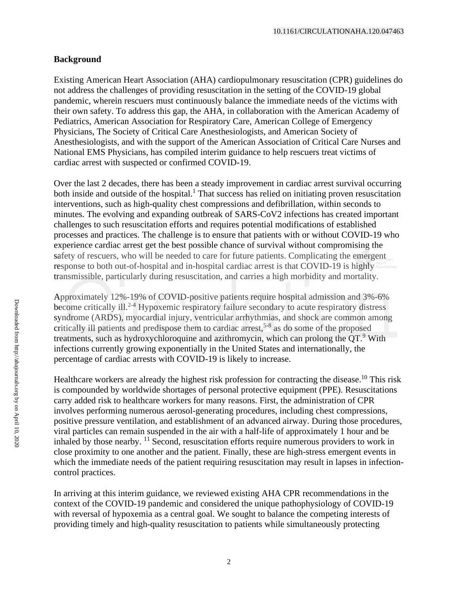### **Background**

Existing American Heart Association (AHA) cardiopulmonary resuscitation (CPR) guidelines do not address the challenges of providing resuscitation in the setting of the COVID-19 global pandemic, wherein rescuers must continuously balance the immediate needs of the victims with their own safety. To address this gap, the AHA, in collaboration with the American Academy of Pediatrics, American Association for Respiratory Care, American College of Emergency Physicians, The Society of Critical Care Anesthesiologists, and American Society of Anesthesiologists, and with the support of the American Association of Critical Care Nurses and National EMS Physicians, has compiled interim guidance to help rescuers treat victims of cardiac arrest with suspected or confirmed COVID-19.

Over the last 2 decades, there has been a steady improvement in cardiac arrest survival occurring both inside and outside of the hospital.<sup>1</sup> That success has relied on initiating proven resuscitation interventions, such as high-quality chest compressions and defibrillation, within seconds to minutes. The evolving and expanding outbreak of SARS-CoV2 infections has created important challenges to such resuscitation efforts and requires potential modifications of established processes and practices. The challenge is to ensure that patients with or without COVID-19 who experience cardiac arrest get the best possible chance of survival without compromising the safety of rescuers, who will be needed to care for future patients. Complicating the emergent response to both out-of-hospital and in-hospital cardiac arrest is that COVID-19 is highly transmissible, particularly during resuscitation, and carries a high morbidity and mortality.

Approximately 12%-19% of COVID-positive patients require hospital admission and 3%-6% become critically ill.<sup>2-4</sup> Hypoxemic respiratory failure secondary to acute respiratory distress syndrome (ARDS), myocardial injury, ventricular arrhythmias, and shock are common among critically ill patients and predispose them to cardiac arrest,<sup>5-8</sup> as do some of the proposed treatments, such as hydroxychloroquine and azithromycin, which can prolong the  $OT<sup>9</sup>$  With infections currently growing exponentially in the United States and internationally, the percentage of cardiac arrests with COVID-19 is likely to increase.

Healthcare workers are already the highest risk profession for contracting the disease.<sup>10</sup> This risk is compounded by worldwide shortages of personal protective equipment (PPE). Resuscitations carry added risk to healthcare workers for many reasons. First, the administration of CPR involves performing numerous aerosol-generating procedures, including chest compressions, positive pressure ventilation, and establishment of an advanced airway. During those procedures, viral particles can remain suspended in the air with a half-life of approximately 1 hour and be inhaled by those nearby.  $11$  Second, resuscitation efforts require numerous providers to work in close proximity to one another and the patient. Finally, these are high-stress emergent events in which the immediate needs of the patient requiring resuscitation may result in lapses in infectioncontrol practices.

In arriving at this interim guidance, we reviewed existing AHA CPR recommendations in the context of the COVID-19 pandemic and considered the unique pathophysiology of COVID-19 with reversal of hypoxemia as a central goal. We sought to balance the competing interests of providing timely and high-quality resuscitation to patients while simultaneously protecting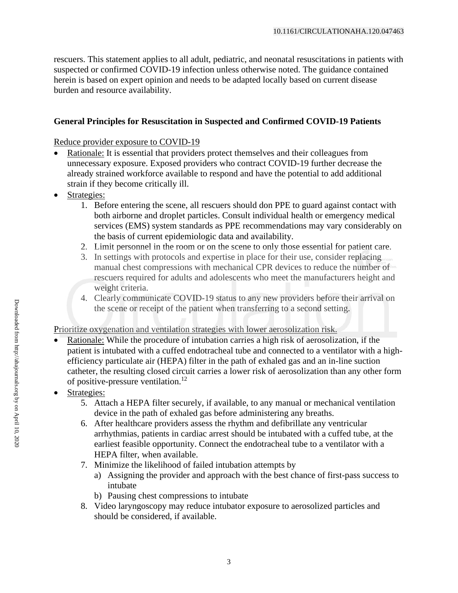rescuers. This statement applies to all adult, pediatric, and neonatal resuscitations in patients with suspected or confirmed COVID-19 infection unless otherwise noted. The guidance contained herein is based on expert opinion and needs to be adapted locally based on current disease burden and resource availability.

## **General Principles for Resuscitation in Suspected and Confirmed COVID-19 Patients**

Reduce provider exposure to COVID-19

- Rationale: It is essential that providers protect themselves and their colleagues from unnecessary exposure. Exposed providers who contract COVID-19 further decrease the already strained workforce available to respond and have the potential to add additional strain if they become critically ill.
- Strategies:
	- 1. Before entering the scene, all rescuers should don PPE to guard against contact with both airborne and droplet particles. Consult individual health or emergency medical services (EMS) system standards as PPE recommendations may vary considerably on the basis of current epidemiologic data and availability.
	- 2. Limit personnel in the room or on the scene to only those essential for patient care.
	- 3. In settings with protocols and expertise in place for their use, consider replacing manual chest compressions with mechanical CPR devices to reduce the number of rescuers required for adults and adolescents who meet the manufacturers height and weight criteria.
	- 4. Clearly communicate COVID-19 status to any new providers before their arrival on the scene or receipt of the patient when transferring to a second setting.

Prioritize oxygenation and ventilation strategies with lower aerosolization risk.

- Rationale: While the procedure of intubation carries a high risk of aerosolization, if the patient is intubated with a cuffed endotracheal tube and connected to a ventilator with a highefficiency particulate air (HEPA) filter in the path of exhaled gas and an in-line suction catheter, the resulting closed circuit carries a lower risk of aerosolization than any other form of positive-pressure ventilation.<sup>12</sup>
- Strategies:
	- 5. Attach a HEPA filter securely, if available, to any manual or mechanical ventilation device in the path of exhaled gas before administering any breaths.
	- 6. After healthcare providers assess the rhythm and defibrillate any ventricular arrhythmias, patients in cardiac arrest should be intubated with a cuffed tube, at the earliest feasible opportunity. Connect the endotracheal tube to a ventilator with a HEPA filter, when available.
	- 7. Minimize the likelihood of failed intubation attempts by
		- a) Assigning the provider and approach with the best chance of first-pass success to intubate
		- b) Pausing chest compressions to intubate
	- 8. Video laryngoscopy may reduce intubator exposure to aerosolized particles and should be considered, if available.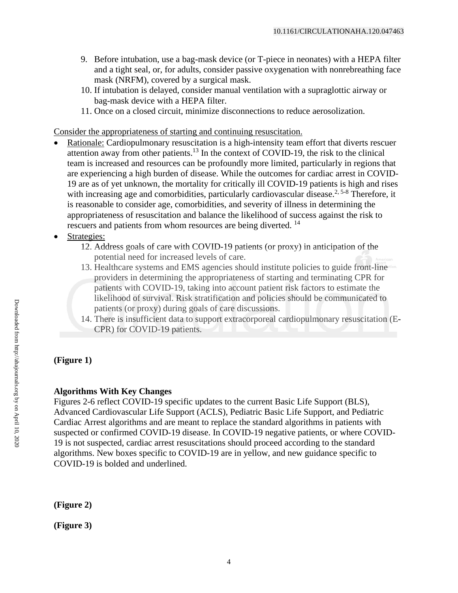- 9. Before intubation, use a bag-mask device (or T-piece in neonates) with a HEPA filter and a tight seal, or, for adults, consider passive oxygenation with nonrebreathing face mask (NRFM), covered by a surgical mask.
- 10. If intubation is delayed, consider manual ventilation with a supraglottic airway or bag-mask device with a HEPA filter.
- 11. Once on a closed circuit, minimize disconnections to reduce aerosolization.

Consider the appropriateness of starting and continuing resuscitation.

- Rationale: Cardiopulmonary resuscitation is a high-intensity team effort that diverts rescuer attention away from other patients.<sup>13</sup> In the context of COVID-19, the risk to the clinical team is increased and resources can be profoundly more limited, particularly in regions that are experiencing a high burden of disease. While the outcomes for cardiac arrest in COVID-19 are as of yet unknown, the mortality for critically ill COVID-19 patients is high and rises with increasing age and comorbidities, particularly cardiovascular disease.<sup>2, 5-8</sup> Therefore, it is reasonable to consider age, comorbidities, and severity of illness in determining the appropriateness of resuscitation and balance the likelihood of success against the risk to rescuers and patients from whom resources are being diverted.<sup>14</sup>
- Strategies:
	- 12. Address goals of care with COVID-19 patients (or proxy) in anticipation of the potential need for increased levels of care.
	- 13. Healthcare systems and EMS agencies should institute policies to guide front-line providers in determining the appropriateness of starting and terminating CPR for patients with COVID-19, taking into account patient risk factors to estimate the likelihood of survival. Risk stratification and policies should be communicated to patients (or proxy) during goals of care discussions.
	- 14. There is insufficient data to support extracorporeal cardiopulmonary resuscitation (E-CPR) for COVID-19 patients.

## **(Figure 1)**

### **Algorithms With Key Changes**

Figures 2-6 reflect COVID-19 specific updates to the current Basic Life Support (BLS), Advanced Cardiovascular Life Support (ACLS), Pediatric Basic Life Support, and Pediatric Cardiac Arrest algorithms and are meant to replace the standard algorithms in patients with suspected or confirmed COVID-19 disease. In COVID-19 negative patients, or where COVID-19 is not suspected, cardiac arrest resuscitations should proceed according to the standard algorithms. New boxes specific to COVID-19 are in yellow, and new guidance specific to COVID-19 is bolded and underlined.

**(Figure 2)** 

**(Figure 3)**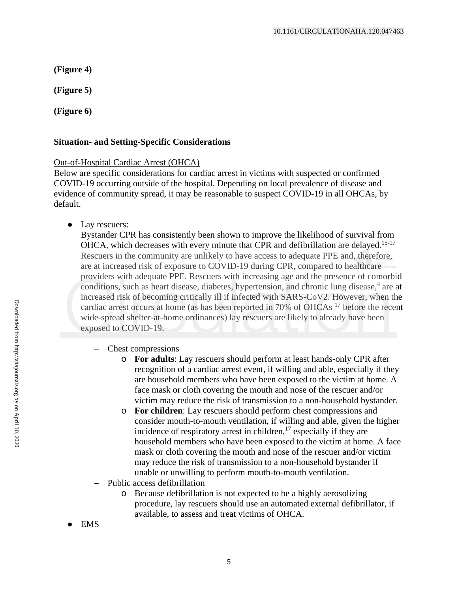**(Figure 4)** 

**(Figure 5)** 

**(Figure 6)** 

## **Situation- and Setting-Specific Considerations**

### Out-of-Hospital Cardiac Arrest (OHCA)

Below are specific considerations for cardiac arrest in victims with suspected or confirmed COVID-19 occurring outside of the hospital. Depending on local prevalence of disease and evidence of community spread, it may be reasonable to suspect COVID-19 in all OHCAs, by default.

• Lay rescuers:

Bystander CPR has consistently been shown to improve the likelihood of survival from OHCA, which decreases with every minute that CPR and defibrillation are delayed.<sup>15-17</sup> Rescuers in the community are unlikely to have access to adequate PPE and, therefore, are at increased risk of exposure to COVID-19 during CPR, compared to healthcare providers with adequate PPE. Rescuers with increasing age and the presence of comorbid conditions, such as heart disease, diabetes, hypertension, and chronic lung disease, <sup>4</sup> are at increased risk of becoming critically ill if infected with SARS-CoV2. However, when the cardiac arrest occurs at home (as has been reported in 70% of OHCAs<sup>17</sup> before the recent wide-spread shelter-at-home ordinances) lay rescuers are likely to already have been exposed to COVID-19.

- Chest compressions
	- o **For adults**: Lay rescuers should perform at least hands-only CPR after recognition of a cardiac arrest event, if willing and able, especially if they are household members who have been exposed to the victim at home. A face mask or cloth covering the mouth and nose of the rescuer and/or victim may reduce the risk of transmission to a non-household bystander.
	- o **For children**: Lay rescuers should perform chest compressions and consider mouth-to-mouth ventilation, if willing and able, given the higher incidence of respiratory arrest in children, $^{17}$  especially if they are household members who have been exposed to the victim at home. A face mask or cloth covering the mouth and nose of the rescuer and/or victim may reduce the risk of transmission to a non-household bystander if unable or unwilling to perform mouth-to-mouth ventilation.
- Public access defibrillation
	- o Because defibrillation is not expected to be a highly aerosolizing procedure, lay rescuers should use an automated external defibrillator, if available, to assess and treat victims of OHCA.
- **EMS**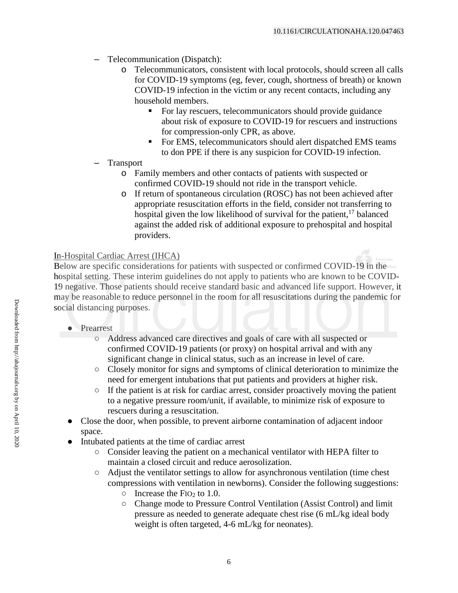- Telecommunication (Dispatch):
	- Telecommunicators, consistent with local protocols, should screen all calls for COVID-19 symptoms (eg, fever, cough, shortness of breath) or known COVID-19 infection in the victim or any recent contacts, including any household members.
		- For lay rescuers, telecommunicators should provide guidance about risk of exposure to COVID-19 for rescuers and instructions for compression-only CPR, as above.
		- For EMS, telecommunicators should alert dispatched EMS teams to don PPE if there is any suspicion for COVID-19 infection.
- **Transport** 
	- o Family members and other contacts of patients with suspected or confirmed COVID-19 should not ride in the transport vehicle.
	- o If return of spontaneous circulation (ROSC) has not been achieved after appropriate resuscitation efforts in the field, consider not transferring to hospital given the low likelihood of survival for the patient,  $17$  balanced against the added risk of additional exposure to prehospital and hospital providers.

## In-Hospital Cardiac Arrest (IHCA)

Below are specific considerations for patients with suspected or confirmed COVID-19 in the hospital setting. These interim guidelines do not apply to patients who are known to be COVID-19 negative. Those patients should receive standard basic and advanced life support. However, it may be reasonable to reduce personnel in the room for all resuscitations during the pandemic for social distancing purposes.

- Prearrest
	- Address advanced care directives and goals of care with all suspected or confirmed COVID-19 patients (or proxy) on hospital arrival and with any significant change in clinical status, such as an increase in level of care.
	- Closely monitor for signs and symptoms of clinical deterioration to minimize the need for emergent intubations that put patients and providers at higher risk.
	- $\circ$  If the patient is at risk for cardiac arrest, consider proactively moving the patient to a negative pressure room/unit, if available, to minimize risk of exposure to rescuers during a resuscitation.
- Close the door, when possible, to prevent airborne contamination of adjacent indoor space.
- Intubated patients at the time of cardiac arrest
	- Consider leaving the patient on a mechanical ventilator with HEPA filter to maintain a closed circuit and reduce aerosolization.
	- Adjust the ventilator settings to allow for asynchronous ventilation (time chest compressions with ventilation in newborns). Consider the following suggestions:
		- $\circ$  Increase the FIO<sub>2</sub> to 1.0.
		- Change mode to Pressure Control Ventilation (Assist Control) and limit pressure as needed to generate adequate chest rise (6 mL/kg ideal body weight is often targeted, 4-6 mL/kg for neonates).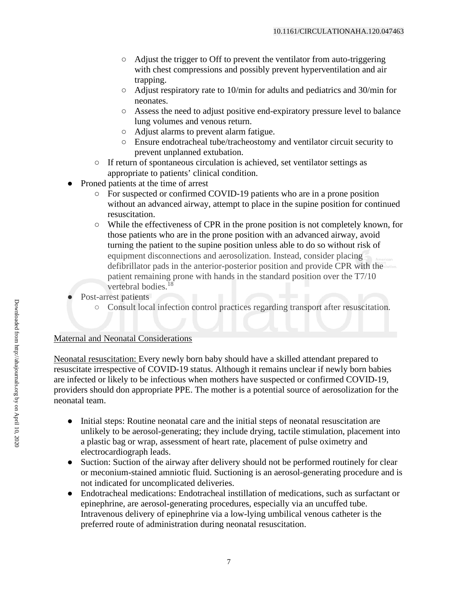- Adjust the trigger to Off to prevent the ventilator from auto-triggering with chest compressions and possibly prevent hyperventilation and air trapping.
- Adjust respiratory rate to 10/min for adults and pediatrics and 30/min for neonates.
- Assess the need to adjust positive end-expiratory pressure level to balance lung volumes and venous return.
- Adjust alarms to prevent alarm fatigue.
- Ensure endotracheal tube/tracheostomy and ventilator circuit security to prevent unplanned extubation.
- If return of spontaneous circulation is achieved, set ventilator settings as appropriate to patients' clinical condition.
- Proned patients at the time of arrest
	- For suspected or confirmed COVID-19 patients who are in a prone position without an advanced airway, attempt to place in the supine position for continued resuscitation.
	- While the effectiveness of CPR in the prone position is not completely known, for those patients who are in the prone position with an advanced airway, avoid turning the patient to the supine position unless able to do so without risk of equipment disconnections and aerosolization. Instead, consider placing defibrillator pads in the anterior-posterior position and provide CPR with the patient remaining prone with hands in the standard position over the T7/10 vertebral bodies.<sup>18</sup>
- Post-arrest patients
	- Consult local infection control practices regarding transport after resuscitation.

#### Maternal and Neonatal Considerations

Neonatal resuscitation: Every newly born baby should have a skilled attendant prepared to resuscitate irrespective of COVID-19 status. Although it remains unclear if newly born babies are infected or likely to be infectious when mothers have suspected or confirmed COVID-19, providers should don appropriate PPE. The mother is a potential source of aerosolization for the neonatal team.

- Initial steps: Routine neonatal care and the initial steps of neonatal resuscitation are unlikely to be aerosol-generating; they include drying, tactile stimulation, placement into a plastic bag or wrap, assessment of heart rate, placement of pulse oximetry and electrocardiograph leads.
- Suction: Suction of the airway after delivery should not be performed routinely for clear or meconium-stained amniotic fluid. Suctioning is an aerosol-generating procedure and is not indicated for uncomplicated deliveries.
- Endotracheal medications: Endotracheal instillation of medications, such as surfactant or epinephrine, are aerosol-generating procedures, especially via an uncuffed tube. Intravenous delivery of epinephrine via a low-lying umbilical venous catheter is the preferred route of administration during neonatal resuscitation.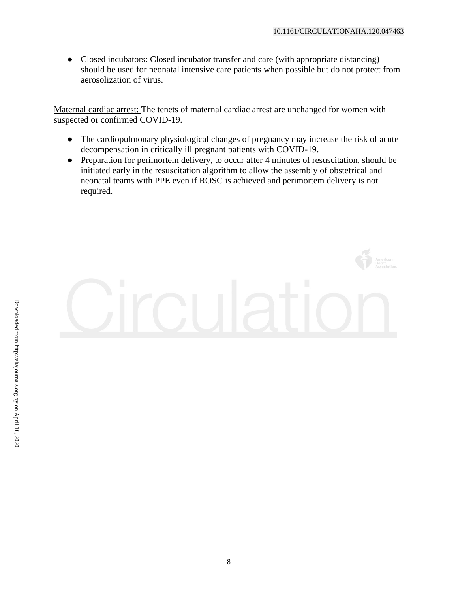● Closed incubators: Closed incubator transfer and care (with appropriate distancing) should be used for neonatal intensive care patients when possible but do not protect from aerosolization of virus.

Maternal cardiac arrest: The tenets of maternal cardiac arrest are unchanged for women with suspected or confirmed COVID-19.

- The cardiopulmonary physiological changes of pregnancy may increase the risk of acute decompensation in critically ill pregnant patients with COVID-19.
- Preparation for perimortem delivery, to occur after 4 minutes of resuscitation, should be initiated early in the resuscitation algorithm to allow the assembly of obstetrical and neonatal teams with PPE even if ROSC is achieved and perimortem delivery is not required.

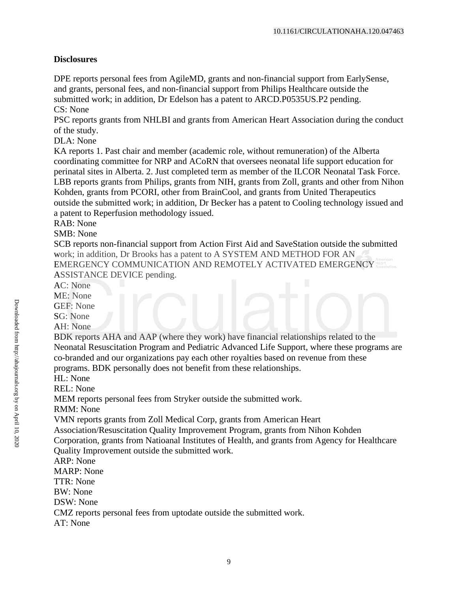### **Disclosures**

DPE reports personal fees from AgileMD, grants and non-financial support from EarlySense, and grants, personal fees, and non-financial support from Philips Healthcare outside the submitted work; in addition, Dr Edelson has a patent to ARCD.P0535US.P2 pending. CS: None

PSC reports grants from NHLBI and grants from American Heart Association during the conduct of the study.

DLA: None

KA reports 1. Past chair and member (academic role, without remuneration) of the Alberta coordinating committee for NRP and ACoRN that oversees neonatal life support education for perinatal sites in Alberta. 2. Just completed term as member of the ILCOR Neonatal Task Force. LBB reports grants from Philips, grants from NIH, grants from Zoll, grants and other from Nihon Kohden, grants from PCORI, other from BrainCool, and grants from United Therapeutics outside the submitted work; in addition, Dr Becker has a patent to Cooling technology issued and a patent to Reperfusion methodology issued.

RAB: None

SMB: None

SCB reports non-financial support from Action First Aid and SaveStation outside the submitted work; in addition, Dr Brooks has a patent to A SYSTEM AND METHOD FOR AN EMERGENCY COMMUNICATION AND REMOTELY ACTIVATED EMERGENCY ASSISTANCE DEVICE pending.

AC: None

ME: None

GEF: None

SG: None

AH: None

BDK reports AHA and AAP (where they work) have financial relationships related to the Neonatal Resuscitation Program and Pediatric Advanced Life Support, where these programs are co-branded and our organizations pay each other royalties based on revenue from these programs. BDK personally does not benefit from these relationships.

HL: None

REL: None

MEM reports personal fees from Stryker outside the submitted work.

RMM: None

VMN reports grants from Zoll Medical Corp, grants from American Heart

Association/Resuscitation Quality Improvement Program, grants from Nihon Kohden

Corporation, grants from Natioanal Institutes of Health, and grants from Agency for Healthcare Quality Improvement outside the submitted work.

ARP: None

MARP: None

TTR: None

BW: None

DSW: None

CMZ reports personal fees from uptodate outside the submitted work.

AT: None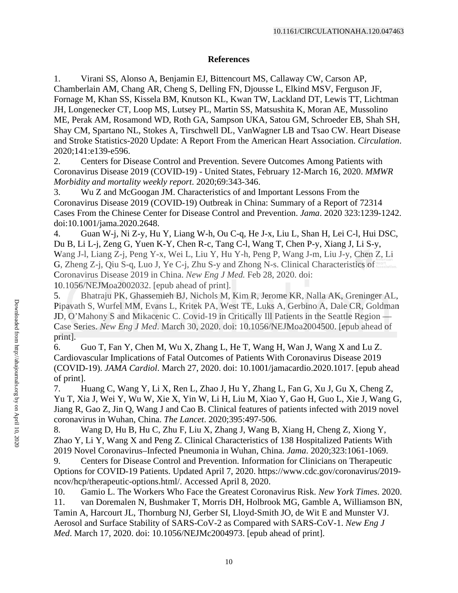#### **References**

1. Virani SS, Alonso A, Benjamin EJ, Bittencourt MS, Callaway CW, Carson AP, Chamberlain AM, Chang AR, Cheng S, Delling FN, Djousse L, Elkind MSV, Ferguson JF, Fornage M, Khan SS, Kissela BM, Knutson KL, Kwan TW, Lackland DT, Lewis TT, Lichtman JH, Longenecker CT, Loop MS, Lutsey PL, Martin SS, Matsushita K, Moran AE, Mussolino ME, Perak AM, Rosamond WD, Roth GA, Sampson UKA, Satou GM, Schroeder EB, Shah SH, Shay CM, Spartano NL, Stokes A, Tirschwell DL, VanWagner LB and Tsao CW. Heart Disease and Stroke Statistics-2020 Update: A Report From the American Heart Association. *Circulation*. 2020;141:e139-e596.

2. Centers for Disease Control and Prevention. Severe Outcomes Among Patients with Coronavirus Disease 2019 (COVID-19) - United States, February 12-March 16, 2020. *MMWR Morbidity and mortality weekly report*. 2020;69:343-346.

3. Wu Z and McGoogan JM. Characteristics of and Important Lessons From the Coronavirus Disease 2019 (COVID-19) Outbreak in China: Summary of a Report of 72314 Cases From the Chinese Center for Disease Control and Prevention. *Jama*. 2020 323:1239-1242. doi:10.1001/jama.2020.2648.

4. Guan W-j, Ni Z-y, Hu Y, Liang W-h, Ou C-q, He J-x, Liu L, Shan H, Lei C-l, Hui DSC, Du B, Li L-j, Zeng G, Yuen K-Y, Chen R-c, Tang C-l, Wang T, Chen P-y, Xiang J, Li S-y, Wang J-l, Liang Z-j, Peng Y-x, Wei L, Liu Y, Hu Y-h, Peng P, Wang J-m, Liu J-y, Chen Z, Li G, Zheng Z-j, Qiu S-q, Luo J, Ye C-j, Zhu S-y and Zhong N-s. Clinical Characteristics of Coronavirus Disease 2019 in China. *New Eng J Med.* Feb 28, 2020. doi: 10.1056/NEJMoa2002032. [epub ahead of print].

5. Bhatraju PK, Ghassemieh BJ, Nichols M, Kim R, Jerome KR, Nalla AK, Greninger AL, Pipavath S, Wurfel MM, Evans L, Kritek PA, West TE, Luks A, Gerbino A, Dale CR, Goldman JD, O'Mahony S and Mikacenic C. Covid-19 in Critically Ill Patients in the Seattle Region — Case Series. *New Eng J Med*. March 30, 2020. doi: 10.1056/NEJMoa2004500. [epub ahead of print].

6. Guo T, Fan Y, Chen M, Wu X, Zhang L, He T, Wang H, Wan J, Wang X and Lu Z. Cardiovascular Implications of Fatal Outcomes of Patients With Coronavirus Disease 2019 (COVID-19). *JAMA Cardiol*. March 27, 2020. doi: 10.1001/jamacardio.2020.1017. [epub ahead of print].

7. Huang C, Wang Y, Li X, Ren L, Zhao J, Hu Y, Zhang L, Fan G, Xu J, Gu X, Cheng Z, Yu T, Xia J, Wei Y, Wu W, Xie X, Yin W, Li H, Liu M, Xiao Y, Gao H, Guo L, Xie J, Wang G, Jiang R, Gao Z, Jin Q, Wang J and Cao B. Clinical features of patients infected with 2019 novel coronavirus in Wuhan, China. *The Lancet*. 2020;395:497-506.

8. Wang D, Hu B, Hu C, Zhu F, Liu X, Zhang J, Wang B, Xiang H, Cheng Z, Xiong Y, Zhao Y, Li Y, Wang X and Peng Z. Clinical Characteristics of 138 Hospitalized Patients With 2019 Novel Coronavirus–Infected Pneumonia in Wuhan, China. *Jama*. 2020;323:1061-1069.

9. Centers for Disease Control and Prevention. Information for Clinicians on Therapeutic Options for COVID-19 Patients. Updated April 7, 2020. https://www.cdc.gov/coronavirus/2019 ncov/hcp/therapeutic-options.html/. Accessed April 8, 2020.

10. Gamio L. The Workers Who Face the Greatest Coronavirus Risk. *New York Times*. 2020. 11. van Doremalen N, Bushmaker T, Morris DH, Holbrook MG, Gamble A, Williamson BN, Tamin A, Harcourt JL, Thornburg NJ, Gerber SI, Lloyd-Smith JO, de Wit E and Munster VJ. Aerosol and Surface Stability of SARS-CoV-2 as Compared with SARS-CoV-1. *New Eng J Med*. March 17, 2020. doi: 10.1056/NEJMc2004973. [epub ahead of print].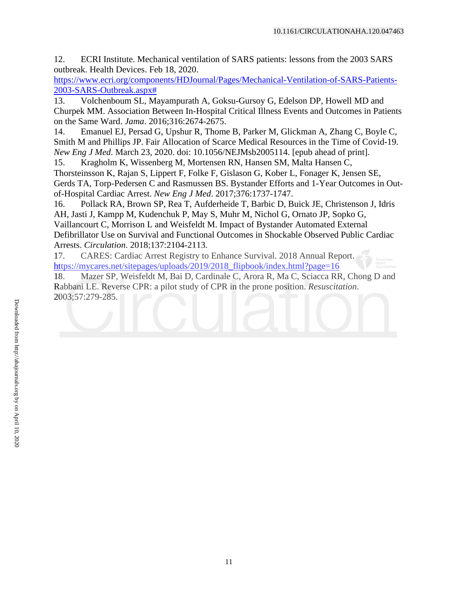12. ECRI Institute. Mechanical ventilation of SARS patients: lessons from the 2003 SARS outbreak. Health Devices. Feb 18, 2020.

[https://www.ecri.org/components/HDJournal/Pages/Mechanical-Ventilation-of-SARS-Patients-](https://www.ecri.org/components/HDJournal/Pages/Mechanical-Ventilation-of-SARS-Patients-2003-SARS-Outbreak.aspx)[2003-SARS-Outbreak.aspx#](https://www.ecri.org/components/HDJournal/Pages/Mechanical-Ventilation-of-SARS-Patients-2003-SARS-Outbreak.aspx)

13. Volchenboum SL, Mayampurath A, Goksu-Gursoy G, Edelson DP, Howell MD and Churpek MM. Association Between In-Hospital Critical Illness Events and Outcomes in Patients on the Same Ward. *Jama*. 2016;316:2674-2675.

14. Emanuel EJ, Persad G, Upshur R, Thome B, Parker M, Glickman A, Zhang C, Boyle C, Smith M and Phillips JP. Fair Allocation of Scarce Medical Resources in the Time of Covid-19. *New Eng J Med*. March 23, 2020. doi: 10.1056/NEJMsb2005114. [epub ahead of print].

15. Kragholm K, Wissenberg M, Mortensen RN, Hansen SM, Malta Hansen C, Thorsteinsson K, Rajan S, Lippert F, Folke F, Gislason G, Kober L, Fonager K, Jensen SE, Gerds TA, Torp-Pedersen C and Rasmussen BS. Bystander Efforts and 1-Year Outcomes in Outof-Hospital Cardiac Arrest. *New Eng J Med*. 2017;376:1737-1747.

16. Pollack RA, Brown SP, Rea T, Aufderheide T, Barbic D, Buick JE, Christenson J, Idris AH, Jasti J, Kampp M, Kudenchuk P, May S, Muhr M, Nichol G, Ornato JP, Sopko G, Vaillancourt C, Morrison L and Weisfeldt M. Impact of Bystander Automated External Defibrillator Use on Survival and Functional Outcomes in Shockable Observed Public Cardiac Arrests. *Circulation*. 2018;137:2104-2113.

17. CARES: Cardiac Arrest Registry to Enhance Survival. 2018 Annual Report. https://mycares.net/sitepages/uploads/2019/2018 flipbook/index.html?page=16

18. Mazer SP, Weisfeldt M, Bai D, Cardinale C, Arora R, Ma C, Sciacca RR, Chong D and Rabbani LE. Reverse CPR: a pilot study of CPR in the prone position. *Resuscitation*. 2003;57:279-285.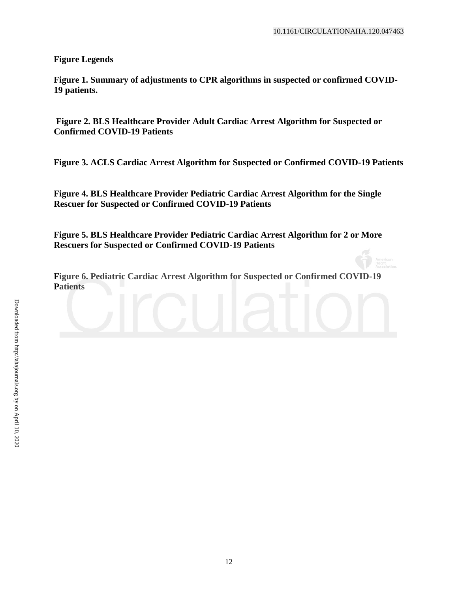**Figure Legends**

**Figure 1. Summary of adjustments to CPR algorithms in suspected or confirmed COVID-19 patients.** 

**Figure 2. BLS Healthcare Provider Adult Cardiac Arrest Algorithm for Suspected or Confirmed COVID-19 Patients** 

**Figure 3. ACLS Cardiac Arrest Algorithm for Suspected or Confirmed COVID-19 Patients** 

**Figure 4. BLS Healthcare Provider Pediatric Cardiac Arrest Algorithm for the Single Rescuer for Suspected or Confirmed COVID-19 Patients** 

**Figure 5. BLS Healthcare Provider Pediatric Cardiac Arrest Algorithm for 2 or More Rescuers for Suspected or Confirmed COVID-19 Patients** 

**Figure 6. Pediatric Cardiac Arrest Algorithm for Suspected or Confirmed COVID-19 Patients**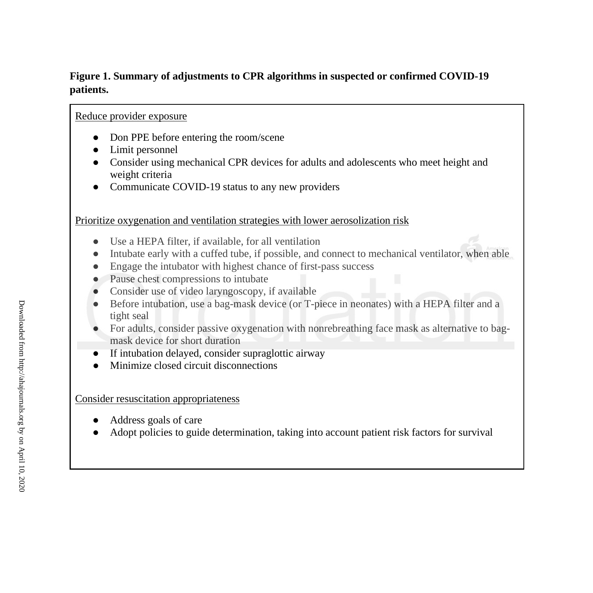#### **Figure 1. Summary of adjustments to CPR algorithms in suspected or confirmed COVID-19 patients.**

#### Reduce provider exposure

- Don PPE before entering the room/scene
- Limit personnel
- Consider using mechanical CPR devices for adults and adolescents who meet height and weight criteria
- Communicate COVID-19 status to any new providers

#### Prioritize oxygenation and ventilation strategies with lower aerosolization risk

- Use a HEPA filter, if available, for all ventilation
- Intubate early with a cuffed tube, if possible, and connect to mechanical ventilator, when able
- Engage the intubator with highest chance of first-pass success
- Pause chest compressions to intubate
- Consider use of video laryngoscopy, if available
- Before intubation, use a bag-mask device (or T-piece in neonates) with a HEPA filter and a tight seal
- For adults, consider passive oxygenation with nonrebreathing face mask as alternative to bagmask device for short duration
- If intubation delayed, consider supraglottic airway
- Minimize closed circuit disconnections

#### Consider resuscitation appropriateness

- Address goals of care
- Adopt policies to guide determination, taking into account patient risk factors for survival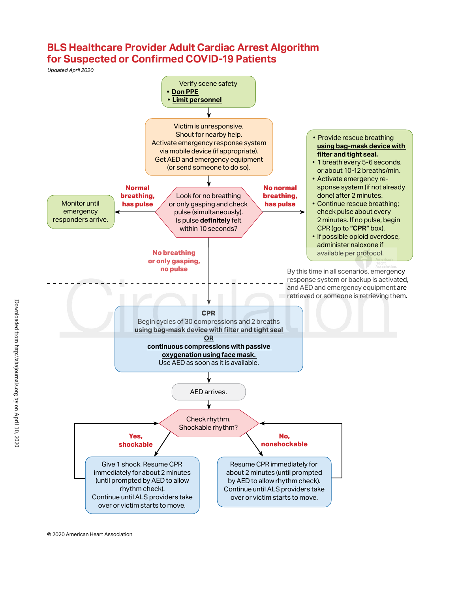# **BLS Healthcare Provider Adult Cardiac Arrest Algorithm for Suspected or Confirmed COVID-19 Patients**

*Updated April 2020*



© 2020 American Heart Association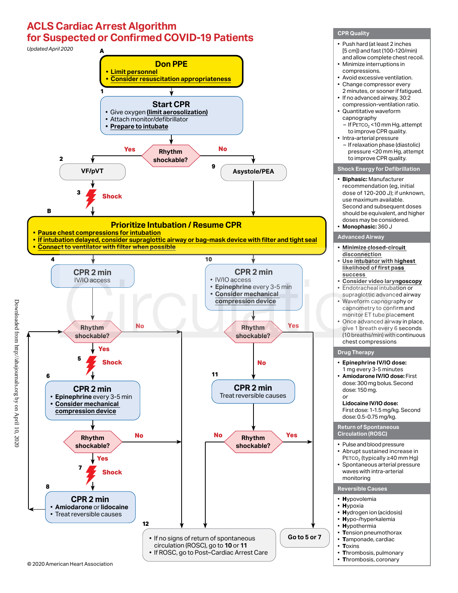# **ACLS Cardiac Arrest Algorithm for Suspected or Confirmed COVID-19 Patients**



**CPR Quality**

Downloaded from http://ahajournals.org by on April 10, 2020

Downloaded from http://ahajournals.org by on April 10, 2020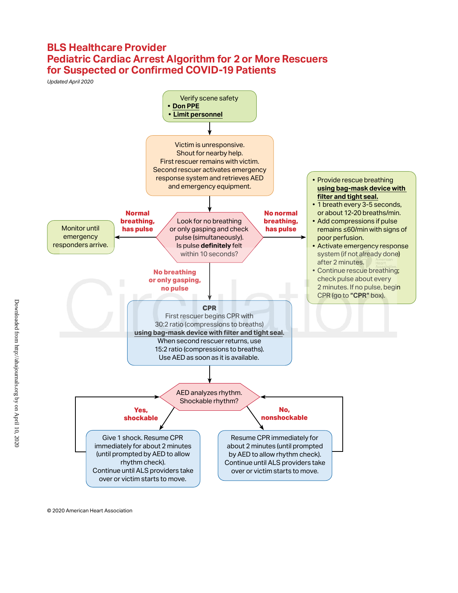## **BLS Healthcare Provider Pediatric Cardiac Arrest Algorithm for 2 or More Rescuers for Suspected or Confirmed COVID-19 Patients**

*Updated April 2020*



© 2020 American Heart Association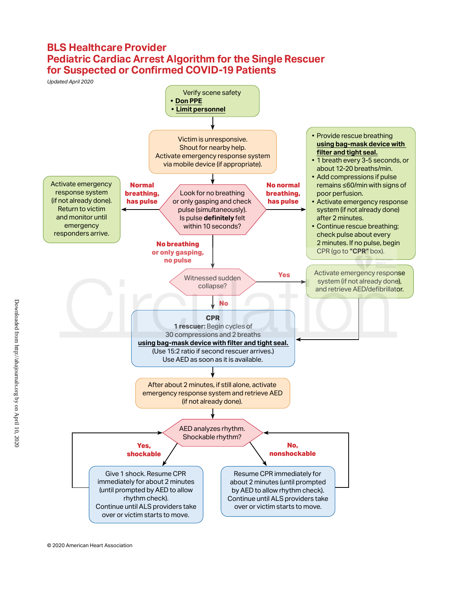## **BLS Healthcare Provider Pediatric Cardiac Arrest Algorithm for the Single Rescuer for Suspected or Confirmed COVID-19 Patients**